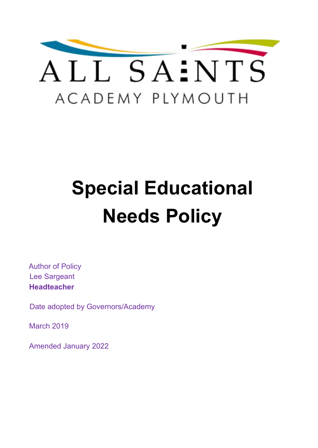

# **Special Educational Needs Policy**

Author of Policy Lee Sargeant **Headteacher**

Date adopted by Governors/Academy

March 2019

Amended January 2022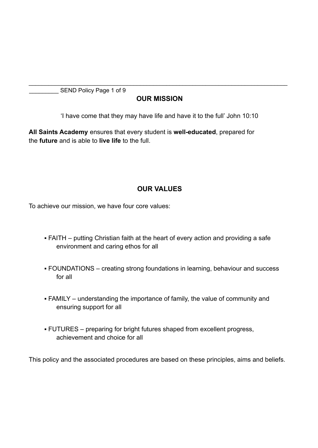SEND Policy Page 1 of 9

#### **OUR MISSION**

\_\_\_\_\_\_\_\_\_\_\_\_\_\_\_\_\_\_\_\_\_\_\_\_\_\_\_\_\_\_\_\_\_\_\_\_\_\_\_\_\_\_\_\_\_\_\_\_\_\_\_\_\_\_\_\_\_\_\_\_\_\_\_\_\_\_\_\_\_\_\_\_\_\_\_\_\_\_\_

'I have come that they may have life and have it to the full' John 10:10

**All Saints Academy** ensures that every student is **well-educated**, prepared for the **future** and is able to **live life** to the full.

#### **OUR VALUES**

To achieve our mission, we have four core values:

- FAITH putting Christian faith at the heart of every action and providing a safe environment and caring ethos for all
- FOUNDATIONS creating strong foundations in learning, behaviour and success for all
- FAMILY understanding the importance of family, the value of community and ensuring support for all
- FUTURES preparing for bright futures shaped from excellent progress, achievement and choice for all

This policy and the associated procedures are based on these principles, aims and beliefs.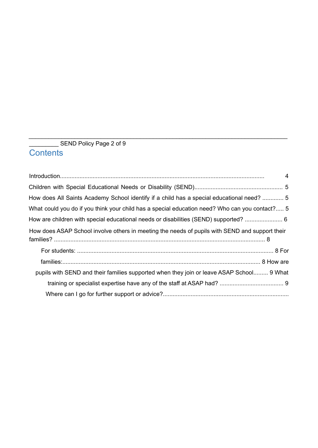### \_\_\_\_\_\_\_\_\_ SEND Policy Page 2 of 9 **Contents**

|                                                                                                | $\overline{4}$ |
|------------------------------------------------------------------------------------------------|----------------|
|                                                                                                |                |
| How does All Saints Academy School identify if a child has a special educational need?  5      |                |
| What could you do if you think your child has a special education need? Who can you contact? 5 |                |
| How are children with special educational needs or disabilities (SEND) supported?  6           |                |
| How does ASAP School involve others in meeting the needs of pupils with SEND and support their |                |
|                                                                                                |                |
|                                                                                                |                |
| pupils with SEND and their families supported when they join or leave ASAP School 9 What       |                |
|                                                                                                |                |
|                                                                                                |                |

\_\_\_\_\_\_\_\_\_\_\_\_\_\_\_\_\_\_\_\_\_\_\_\_\_\_\_\_\_\_\_\_\_\_\_\_\_\_\_\_\_\_\_\_\_\_\_\_\_\_\_\_\_\_\_\_\_\_\_\_\_\_\_\_\_\_\_\_\_\_\_\_\_\_\_\_\_\_\_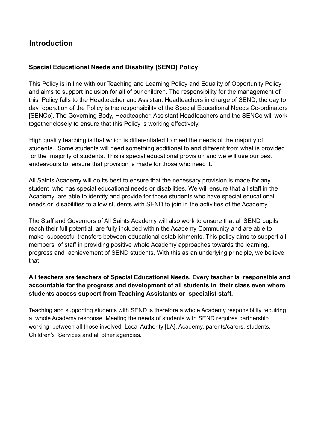## **Introduction**

#### **Special Educational Needs and Disability [SEND] Policy**

This Policy is in line with our Teaching and Learning Policy and Equality of Opportunity Policy and aims to support inclusion for all of our children. The responsibility for the management of this Policy falls to the Headteacher and Assistant Headteachers in charge of SEND, the day to day operation of the Policy is the responsibility of the Special Educational Needs Co-ordinators [SENCo]. The Governing Body, Headteacher, Assistant Headteachers and the SENCo will work together closely to ensure that this Policy is working effectively.

High quality teaching is that which is differentiated to meet the needs of the majority of students. Some students will need something additional to and different from what is provided for the majority of students. This is special educational provision and we will use our best endeavours to ensure that provision is made for those who need it.

All Saints Academy will do its best to ensure that the necessary provision is made for any student who has special educational needs or disabilities. We will ensure that all staff in the Academy are able to identify and provide for those students who have special educational needs or disabilities to allow students with SEND to join in the activities of the Academy.

The Staff and Governors of All Saints Academy will also work to ensure that all SEND pupils reach their full potential, are fully included within the Academy Community and are able to make successful transfers between educational establishments. This policy aims to support all members of staff in providing positive whole Academy approaches towards the learning, progress and achievement of SEND students. With this as an underlying principle, we believe that:

#### **All teachers are teachers of Special Educational Needs. Every teacher is responsible and accountable for the progress and development of all students in their class even where students access support from Teaching Assistants or specialist staff.**

Teaching and supporting students with SEND is therefore a whole Academy responsibility requiring a whole Academy response. Meeting the needs of students with SEND requires partnership working between all those involved, Local Authority [LA], Academy, parents/carers, students, Children's Services and all other agencies.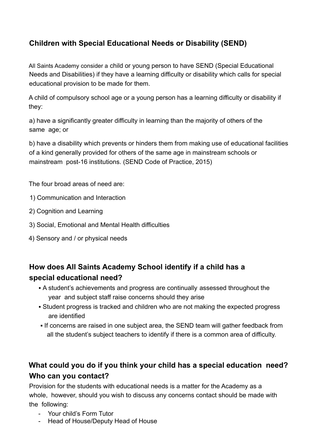# **Children with Special Educational Needs or Disability (SEND)**

All Saints Academy consider a child or young person to have SEND (Special Educational Needs and Disabilities) if they have a learning difficulty or disability which calls for special educational provision to be made for them.

A child of compulsory school age or a young person has a learning difficulty or disability if they:

a) have a significantly greater difficulty in learning than the majority of others of the same age; or

b) have a disability which prevents or hinders them from making use of educational facilities of a kind generally provided for others of the same age in mainstream schools or mainstream post-16 institutions. (SEND Code of Practice, 2015)

The four broad areas of need are:

- 1) Communication and Interaction
- 2) Cognition and Learning
- 3) Social, Emotional and Mental Health difficulties
- 4) Sensory and / or physical needs

# **How does All Saints Academy School identify if a child has a special educational need?**

- A student's achievements and progress are continually assessed throughout the year and subject staff raise concerns should they arise
- Student progress is tracked and children who are not making the expected progress are identified
- If concerns are raised in one subject area, the SEND team will gather feedback from all the student's subject teachers to identify if there is a common area of difficulty.

# **What could you do if you think your child has a special education need? Who can you contact?**

Provision for the students with educational needs is a matter for the Academy as a whole, however, should you wish to discuss any concerns contact should be made with the following:

- Your child's Form Tutor
- Head of House/Deputy Head of House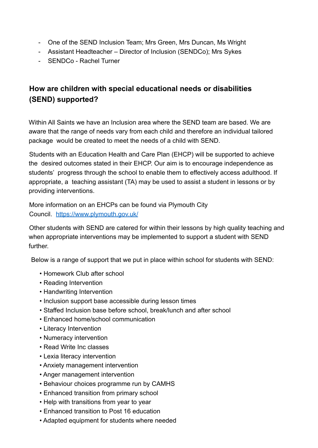- One of the SEND Inclusion Team; Mrs Green, Mrs Duncan, Ms Wright
- Assistant Headteacher Director of Inclusion (SENDCo); Mrs Sykes
- SENDCo Rachel Turner

# **How are children with special educational needs or disabilities (SEND) supported?**

Within All Saints we have an Inclusion area where the SEND team are based. We are aware that the range of needs vary from each child and therefore an individual tailored package would be created to meet the needs of a child with SEND.

Students with an Education Health and Care Plan (EHCP) will be supported to achieve the desired outcomes stated in their EHCP. Our aim is to encourage independence as students' progress through the school to enable them to effectively access adulthood. If appropriate, a teaching assistant (TA) may be used to assist a student in lessons or by providing interventions.

More information on an EHCPs can be found via Plymouth City Council. https://www.plymouth.gov.uk/

Other students with SEND are catered for within their lessons by high quality teaching and when appropriate interventions may be implemented to support a student with SEND further.

Below is a range of support that we put in place within school for students with SEND:

- Homework Club after school
- Reading Intervention
- Handwriting Intervention
- Inclusion support base accessible during lesson times
- Staffed Inclusion base before school, break/lunch and after school
- Enhanced home/school communication
- Literacy Intervention
- Numeracy intervention
- Read Write Inc classes
- Lexia literacy intervention
- Anxiety management intervention
- Anger management intervention
- Behaviour choices programme run by CAMHS
- Enhanced transition from primary school
- Help with transitions from year to year
- Enhanced transition to Post 16 education
- Adapted equipment for students where needed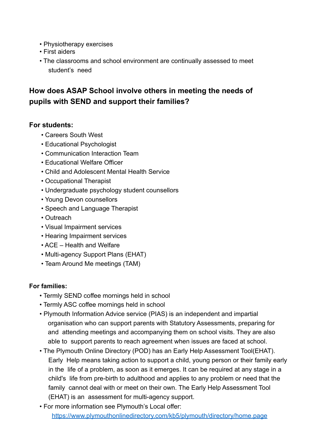- Physiotherapy exercises
- First aiders
- The classrooms and school environment are continually assessed to meet student's need

# **How does ASAP School involve others in meeting the needs of pupils with SEND and support their families?**

#### **For students:**

- Careers South West
- Educational Psychologist
- Communication Interaction Team
- Educational Welfare Officer
- Child and Adolescent Mental Health Service
- Occupational Therapist
- Undergraduate psychology student counsellors
- Young Devon counsellors
- Speech and Language Therapist
- Outreach
- Visual Impairment services
- Hearing Impairment services
- ACE Health and Welfare
- Multi-agency Support Plans (EHAT)
- Team Around Me meetings (TAM)

#### **For families:**

- Termly SEND coffee mornings held in school
- Termly ASC coffee mornings held in school
- Plymouth Information Advice service (PIAS) is an independent and impartial organisation who can support parents with Statutory Assessments, preparing for and attending meetings and accompanying them on school visits. They are also able to support parents to reach agreement when issues are faced at school.
- The Plymouth Online Directory (POD) has an Early Help Assessment Tool(EHAT). Early Help means taking action to support a child, young person or their family early in the life of a problem, as soon as it emerges. It can be required at any stage in a child's life from pre-birth to adulthood and applies to any problem or need that the family cannot deal with or meet on their own. The Early Help Assessment Tool (EHAT) is an assessment for multi-agency support.
- For more information see Plymouth's Local offer: https://www.plymouthonlinedirectory.com/kb5/plymouth/directory/home.page